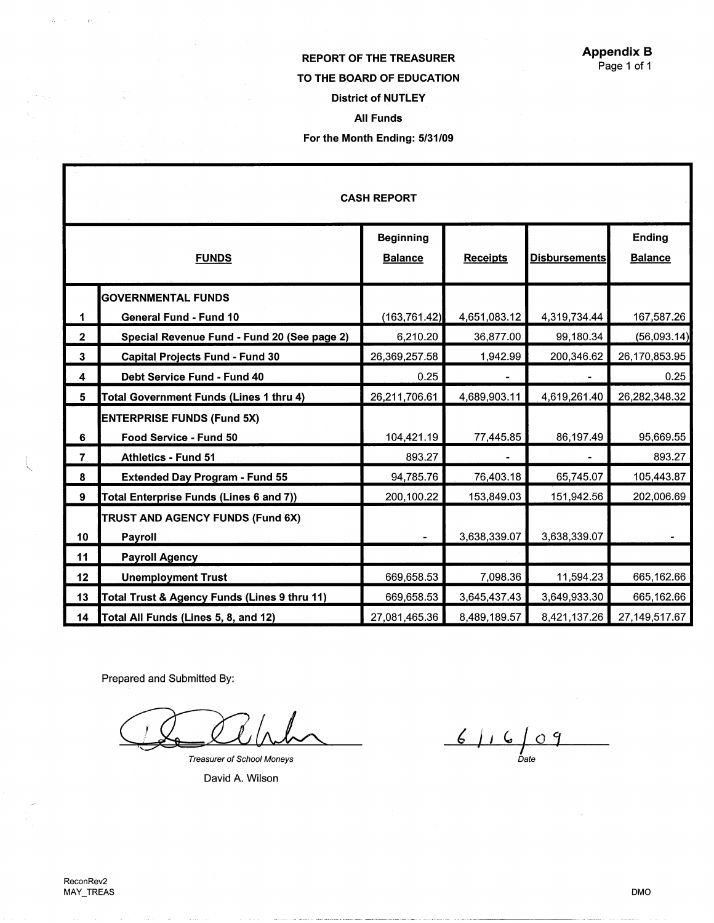# REPORT OF THE TREASURER TO THE **BOARD** OF EDUCATION District of NUTLEY All Funds For the Month Ending: 5/31/09

| <b>CASH REPORT</b> |                                              |                                    |                 |                      |                          |  |  |  |
|--------------------|----------------------------------------------|------------------------------------|-----------------|----------------------|--------------------------|--|--|--|
|                    | <b>FUNDS</b>                                 | <b>Beginning</b><br><b>Balance</b> | <b>Receipts</b> | <b>Disbursements</b> | Ending<br><b>Balance</b> |  |  |  |
|                    | <b>GOVERNMENTAL FUNDS</b>                    |                                    |                 |                      |                          |  |  |  |
| 1                  | <b>General Fund - Fund 10</b>                | (163, 761.42)                      | 4,651,083.12    | 4,319,734.44         | 167,587.26               |  |  |  |
| $\mathbf{2}$       | Special Revenue Fund - Fund 20 (See page 2)  | 6,210.20                           | 36,877.00       | 99,180.34            | (56,093.14)              |  |  |  |
| $\mathbf{3}$       | <b>Capital Projects Fund - Fund 30</b>       | 26,369,257.58                      | 1,942.99        | 200,346.62           | 26,170,853.95            |  |  |  |
| 4                  | Debt Service Fund - Fund 40                  | 0.25                               |                 |                      | 0.25                     |  |  |  |
| 5                  | Total Government Funds (Lines 1 thru 4)      | 26,211,706.61                      | 4,689,903.11    | 4,619,261.40         | 26,282,348.32            |  |  |  |
|                    | <b>ENTERPRISE FUNDS (Fund 5X)</b>            |                                    |                 |                      |                          |  |  |  |
| 6                  | Food Service - Fund 50                       | 104,421.19                         | 77,445.85       | 86,197.49            | 95,669.55                |  |  |  |
| $\overline{7}$     | <b>Athletics - Fund 51</b>                   | 893.27                             |                 |                      | 893.27                   |  |  |  |
| 8                  | <b>Extended Day Program - Fund 55</b>        | 94,785.76                          | 76,403.18       | 65,745.07            | 105,443.87               |  |  |  |
| 9                  | Total Enterprise Funds (Lines 6 and 7))      | 200,100.22                         | 153,849.03      | 151,942.56           | 202,006.69               |  |  |  |
| 10                 | TRUST AND AGENCY FUNDS (Fund 6X)<br>Payroll  |                                    | 3,638,339.07    | 3,638,339.07         |                          |  |  |  |
| 11                 | <b>Payroll Agency</b>                        |                                    |                 |                      |                          |  |  |  |
| 12                 | <b>Unemployment Trust</b>                    | 669,658.53                         | 7,098.36        | 11,594.23            | 665,162.66               |  |  |  |
| 13                 | Total Trust & Agency Funds (Lines 9 thru 11) | 669,658.53                         | 3,645,437.43    | 3,649,933.30         | 665,162.66               |  |  |  |
| 14                 | Total All Funds (Lines 5, 8, and 12)         | 27,081,465.36                      | 8,489,189.57    | 8,421,137.26         | 27,149,517.67            |  |  |  |

·--·-----------··· -- ·--------·----·-- --··· ----------- ··------~------

Prepared and Submitted By:

Treasurer of School Moneys David A. Wilson

 $\overline{1}$ Date

 $\mathfrak{g}^{\pm}$  (  $\pm$  $\gamma = \gamma$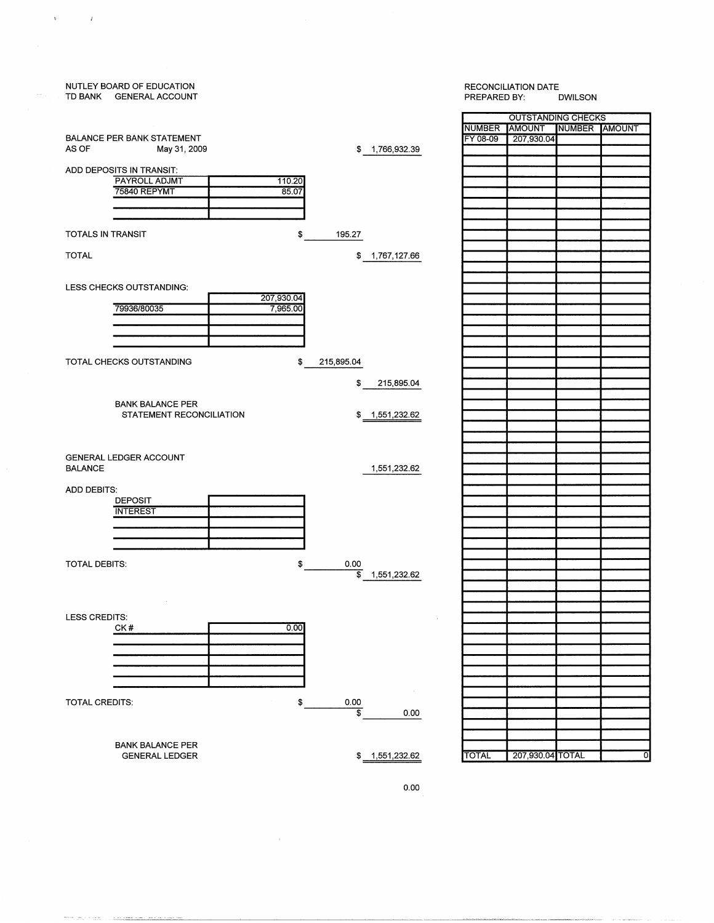| NUTLEY BOARD OF EDUCATION<br>TD BANK GENERAL ACCOUNT |                                     |                 | <b>RECONCILIATION DATE</b><br>PREPARED BY:<br><b>DWILSON</b> |                           |               |   |
|------------------------------------------------------|-------------------------------------|-----------------|--------------------------------------------------------------|---------------------------|---------------|---|
|                                                      |                                     |                 |                                                              | <b>OUTSTANDING CHECKS</b> |               |   |
|                                                      |                                     |                 | <b>NUMBER</b>                                                | <b>JAMOUNT</b>            | NUMBER AMOUNT |   |
| <b>BALANCE PER BANK STATEMENT</b>                    |                                     |                 | FY 08-09                                                     | 207,930.04                |               |   |
| AS OF<br>May 31, 2009                                |                                     | \$1,766,932.39  |                                                              |                           |               |   |
|                                                      |                                     |                 |                                                              |                           |               |   |
| ADD DEPOSITS IN TRANSIT:                             |                                     |                 |                                                              |                           |               |   |
| PAYROLL ADJMT<br>110.20                              |                                     |                 |                                                              |                           |               |   |
| 75840 REPYMT<br>85.07                                |                                     |                 |                                                              |                           |               |   |
|                                                      |                                     |                 |                                                              |                           |               |   |
|                                                      |                                     |                 |                                                              |                           |               |   |
|                                                      |                                     |                 |                                                              |                           |               |   |
| \$<br>TOTALS IN TRANSIT                              | 195.27                              |                 |                                                              |                           |               |   |
|                                                      |                                     |                 |                                                              |                           |               |   |
| <b>TOTAL</b>                                         | \$                                  | 1,767,127.66    |                                                              |                           |               |   |
|                                                      |                                     |                 |                                                              |                           |               |   |
|                                                      |                                     |                 |                                                              |                           |               |   |
| LESS CHECKS OUTSTANDING:                             |                                     |                 |                                                              |                           |               |   |
| 207,930.04                                           |                                     |                 |                                                              |                           |               |   |
| 79936/80035<br>7,965.00                              |                                     |                 |                                                              |                           |               |   |
|                                                      |                                     |                 |                                                              |                           |               |   |
|                                                      |                                     |                 |                                                              |                           |               |   |
|                                                      |                                     |                 |                                                              |                           |               |   |
| TOTAL CHECKS OUTSTANDING<br>\$                       | 215,895.04                          |                 |                                                              |                           |               |   |
|                                                      |                                     |                 |                                                              |                           |               |   |
|                                                      | \$                                  | 215,895.04      |                                                              |                           |               |   |
|                                                      |                                     |                 |                                                              |                           |               |   |
| <b>BANK BALANCE PER</b>                              |                                     |                 |                                                              |                           |               |   |
| STATEMENT RECONCILIATION                             | \$                                  | 1,551,232.62    |                                                              |                           |               |   |
|                                                      |                                     |                 |                                                              |                           |               |   |
|                                                      |                                     |                 |                                                              |                           |               |   |
|                                                      |                                     |                 |                                                              |                           |               |   |
| <b>GENERAL LEDGER ACCOUNT</b>                        |                                     |                 |                                                              |                           |               |   |
| <b>BALANCE</b>                                       |                                     | 1,551,232.62    |                                                              |                           |               |   |
|                                                      |                                     |                 |                                                              |                           |               |   |
| ADD DEBITS:                                          |                                     |                 |                                                              |                           |               |   |
| <b>DEPOSIT</b>                                       |                                     |                 |                                                              |                           |               |   |
| <b>INTEREST</b>                                      |                                     |                 |                                                              |                           |               |   |
|                                                      |                                     |                 |                                                              |                           |               |   |
|                                                      |                                     |                 |                                                              |                           |               |   |
|                                                      |                                     |                 |                                                              |                           |               |   |
|                                                      |                                     |                 |                                                              |                           |               |   |
| TOTAL DEBITS:<br>\$                                  | 0.00                                |                 |                                                              |                           |               |   |
|                                                      | \$                                  | 1,551,232.62    |                                                              |                           |               |   |
|                                                      |                                     |                 |                                                              |                           |               |   |
| $\sim$                                               |                                     |                 |                                                              |                           |               |   |
|                                                      |                                     |                 |                                                              |                           |               |   |
| <b>LESS CREDITS:</b>                                 |                                     |                 |                                                              |                           |               |   |
| 0.00<br>CK#                                          |                                     |                 |                                                              |                           |               |   |
|                                                      |                                     |                 |                                                              |                           |               |   |
|                                                      |                                     |                 |                                                              |                           |               |   |
|                                                      |                                     |                 |                                                              |                           |               |   |
|                                                      |                                     |                 |                                                              |                           |               |   |
|                                                      |                                     |                 |                                                              |                           |               |   |
|                                                      |                                     |                 |                                                              |                           |               |   |
| TOTAL CREDITS:<br>\$                                 | $0.00\,$<br>$\overline{\mathbb{s}}$ |                 |                                                              |                           |               |   |
|                                                      |                                     | 0.00            |                                                              |                           |               |   |
|                                                      |                                     |                 |                                                              |                           |               |   |
|                                                      |                                     |                 |                                                              |                           |               |   |
| <b>BANK BALANCE PER</b>                              |                                     |                 | <b>TOTAL</b>                                                 | 207,930.04 TOTAL          |               | ō |
| <b>GENERAL LEDGER</b>                                |                                     | \$ 1,551,232.62 |                                                              |                           |               |   |
|                                                      |                                     |                 |                                                              |                           |               |   |

 $\mathcal{R}^{(1)}$  and  $\mathcal{R}^{(2)}$ 



 $\bar{1}$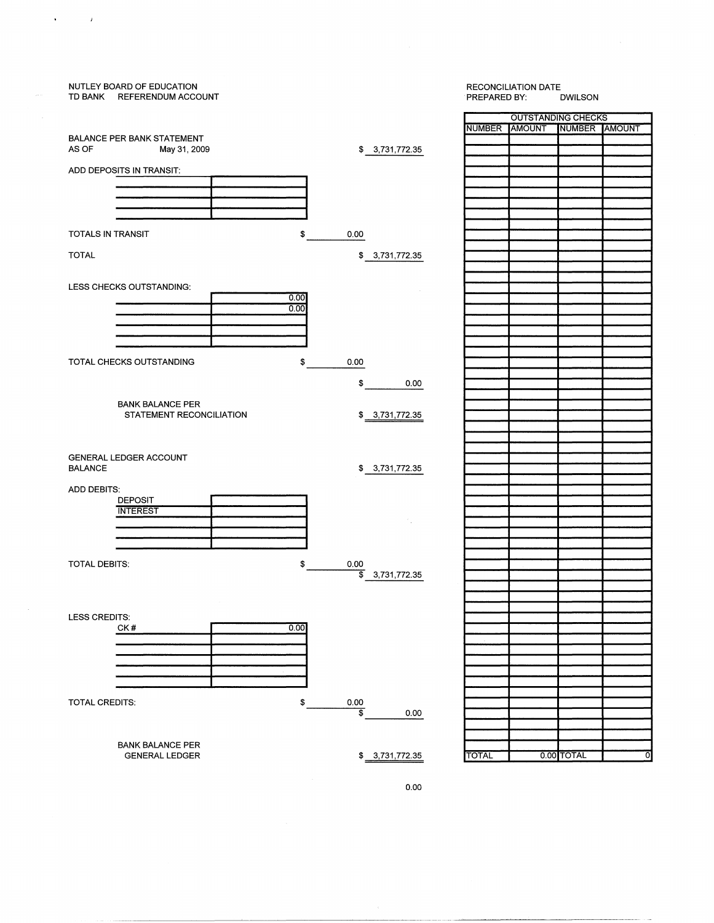## NUTLEY BOARD OF EDUCATION RECONCILIATION DATE TD BANK REFERENDUM ACCOUNT

 $\mathbf{v} = \mathbf{v} \times \mathbf{v}$ 

|                                   |                             |               | <b>OUTSTANDING CHECKS</b> |               |                           |
|-----------------------------------|-----------------------------|---------------|---------------------------|---------------|---------------------------|
|                                   |                             | <b>NUMBER</b> | <b>AMOUNT</b>             | <b>NUMBER</b> | <b>AMOUNT</b>             |
| <b>BALANCE PER BANK STATEMENT</b> |                             |               |                           |               |                           |
| AS OF<br>May 31, 2009             | \$ 3,731,772.35             |               |                           |               |                           |
|                                   |                             |               |                           |               |                           |
| ADD DEPOSITS IN TRANSIT:          |                             |               |                           |               |                           |
|                                   |                             |               |                           |               |                           |
|                                   |                             |               |                           |               |                           |
|                                   |                             |               |                           |               |                           |
|                                   |                             |               |                           |               |                           |
|                                   |                             |               |                           |               |                           |
| TOTALS IN TRANSIT<br>\$           | 0.00                        |               |                           |               |                           |
|                                   |                             |               |                           |               |                           |
| <b>TOTAL</b>                      | \$3,731,772.35              |               |                           |               |                           |
|                                   |                             |               |                           |               |                           |
|                                   |                             |               |                           |               |                           |
|                                   |                             |               |                           |               |                           |
| LESS CHECKS OUTSTANDING:          |                             |               |                           |               |                           |
| 0.00                              |                             |               |                           |               |                           |
| 0.00                              |                             |               |                           |               |                           |
|                                   |                             |               |                           |               |                           |
|                                   |                             |               |                           |               |                           |
|                                   |                             |               |                           |               |                           |
|                                   |                             |               |                           |               |                           |
| TOTAL CHECKS OUTSTANDING<br>\$    | 0.00                        |               |                           |               |                           |
|                                   |                             |               |                           |               |                           |
|                                   | \$<br>0.00                  |               |                           |               |                           |
|                                   |                             |               |                           |               |                           |
| <b>BANK BALANCE PER</b>           |                             |               |                           |               |                           |
| STATEMENT RECONCILIATION          | \$3,731,772.35              |               |                           |               |                           |
|                                   |                             |               |                           |               |                           |
|                                   |                             |               |                           |               |                           |
|                                   |                             |               |                           |               |                           |
| GENERAL LEDGER ACCOUNT            |                             |               |                           |               |                           |
| <b>BALANCE</b>                    | \$3,731,772.35              |               |                           |               |                           |
|                                   |                             |               |                           |               |                           |
| <b>ADD DEBITS:</b>                |                             |               |                           |               |                           |
| <b>DEPOSIT</b>                    |                             |               |                           |               |                           |
| <b>INTEREST</b>                   |                             |               |                           |               |                           |
|                                   | $\mathcal{F}_{\mathcal{A}}$ |               |                           |               |                           |
|                                   |                             |               |                           |               |                           |
|                                   |                             |               |                           |               |                           |
|                                   |                             |               |                           |               |                           |
|                                   |                             |               |                           |               |                           |
| <b>TOTAL DEBITS:</b><br>\$        | 0.00<br>\$                  |               |                           |               |                           |
|                                   | 3,731,772.35                |               |                           |               |                           |
|                                   |                             |               |                           |               |                           |
|                                   |                             |               |                           |               |                           |
|                                   |                             |               |                           |               |                           |
| LESS CREDITS:                     |                             |               |                           |               |                           |
| 0.00<br>CK#                       |                             |               |                           |               |                           |
|                                   |                             |               |                           |               |                           |
|                                   |                             |               |                           |               |                           |
|                                   |                             |               |                           |               |                           |
|                                   |                             |               |                           |               |                           |
|                                   |                             |               |                           |               |                           |
|                                   |                             |               |                           |               |                           |
| TOTAL CREDITS:<br>\$              | $rac{0.00}{1}$              |               |                           |               |                           |
|                                   | 0.00                        |               |                           |               |                           |
|                                   |                             |               |                           |               |                           |
|                                   |                             |               |                           |               |                           |
| <b>BANK BALANCE PER</b>           |                             |               |                           |               |                           |
| <b>GENERAL LEDGER</b>             | \$3,731,772.35              | <b>TOTAL</b>  |                           | 0.00 TOTAL    | $\overline{\mathfrak{o}}$ |
|                                   |                             |               |                           |               |                           |
|                                   |                             |               |                           |               |                           |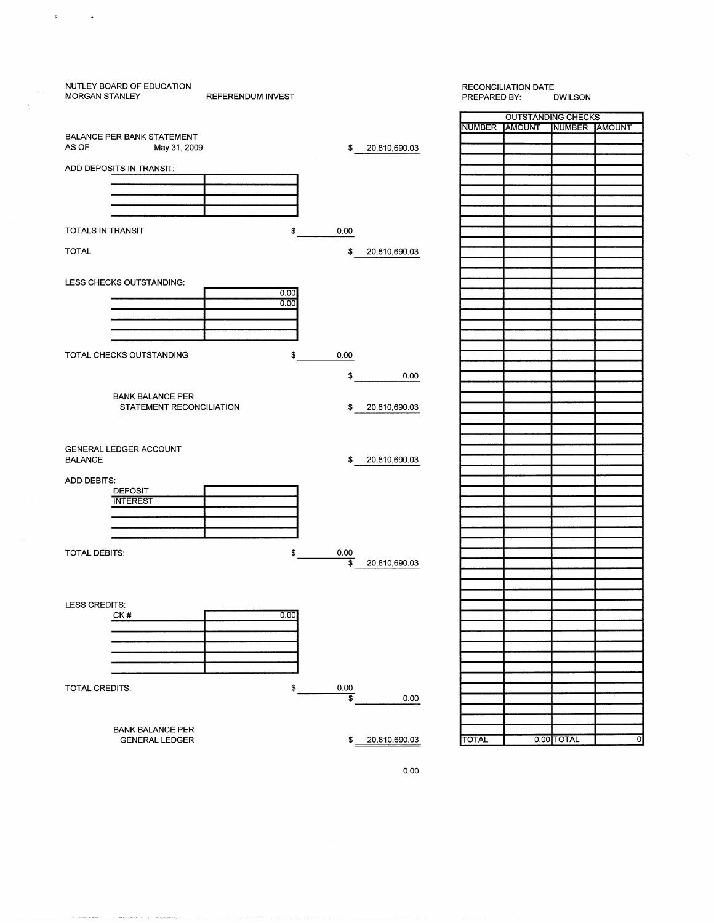

 $\sim$   $\alpha$ 

 $\hat{\mathbf{c}}$ 

OUTSTANDING CHECKS NUMBER AMOUNT NUMBER AMOUNT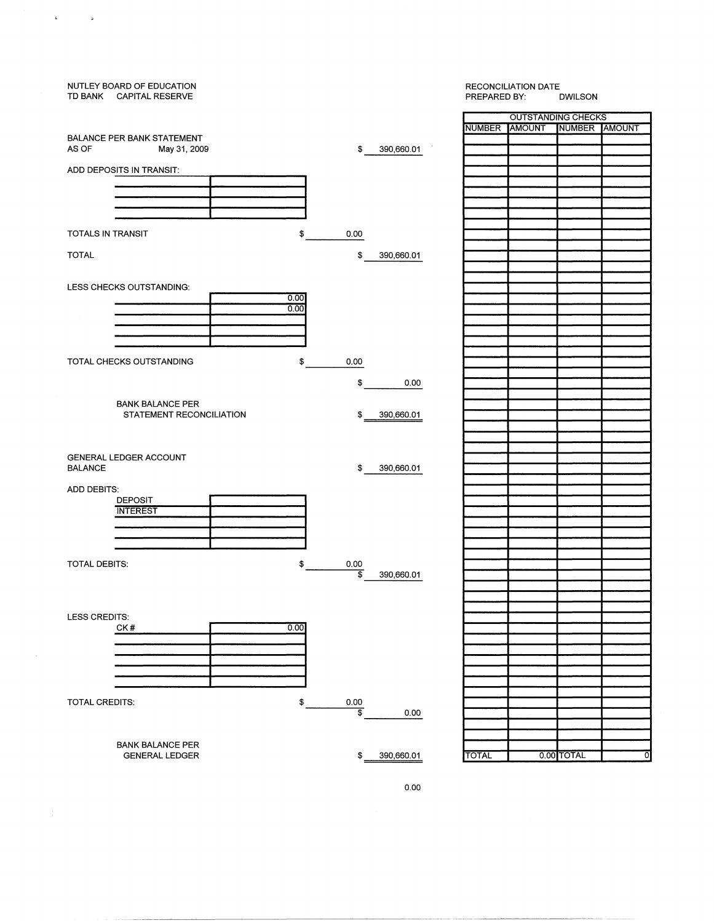

 $\mathbf{a}^{\dagger}$  and  $\mathbf{a}^{\dagger}$ 

### RECONCILIATION DATE<br>PREPARED BY: DWILSON PREPARED BY:

OUTSTANDING CHECKS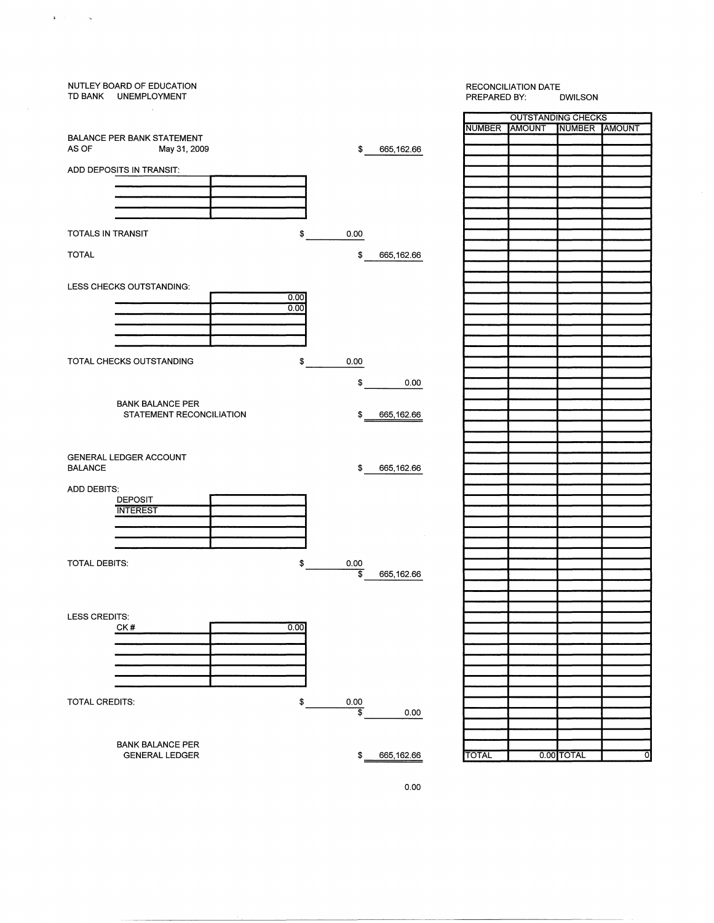

 $\mathbf{k} = \mathbf{r}^{\dagger}$  ,  $\mathbf{r}^{\dagger}$  ,  $\mathbf{r}^{\dagger}$ 

OUTSTANDING CHECKS